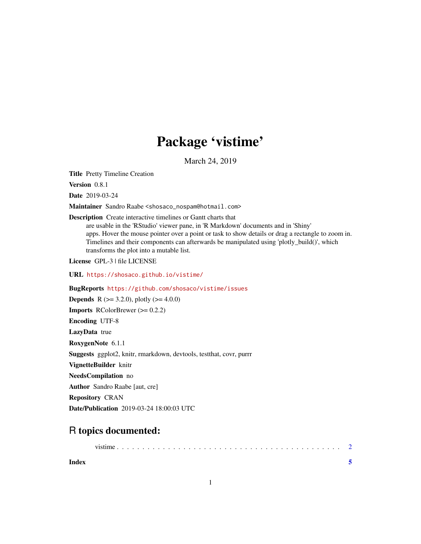## Package 'vistime'

March 24, 2019

Title Pretty Timeline Creation

Version 0.8.1

Date 2019-03-24

Maintainer Sandro Raabe <shosaco\_nospam@hotmail.com>

Description Create interactive timelines or Gantt charts that are usable in the 'RStudio' viewer pane, in 'R Markdown' documents and in 'Shiny' apps. Hover the mouse pointer over a point or task to show details or drag a rectangle to zoom in. Timelines and their components can afterwards be manipulated using 'plotly\_build()', which transforms the plot into a mutable list.

License GPL-3 | file LICENSE

URL <https://shosaco.github.io/vistime/>

BugReports <https://github.com/shosaco/vistime/issues>

**Depends** R ( $>= 3.2.0$ ), plotly ( $>= 4.0.0$ )

**Imports** RColorBrewer  $(>= 0.2.2)$ 

Encoding UTF-8

LazyData true

RoxygenNote 6.1.1

Suggests ggplot2, knitr, rmarkdown, devtools, testthat, covr, purrr

VignetteBuilder knitr

NeedsCompilation no

Author Sandro Raabe [aut, cre]

Repository CRAN

Date/Publication 2019-03-24 18:00:03 UTC

### R topics documented:

| Index |  |  |  |  |  |  |  |  |  |  |  |  |  |  |  |
|-------|--|--|--|--|--|--|--|--|--|--|--|--|--|--|--|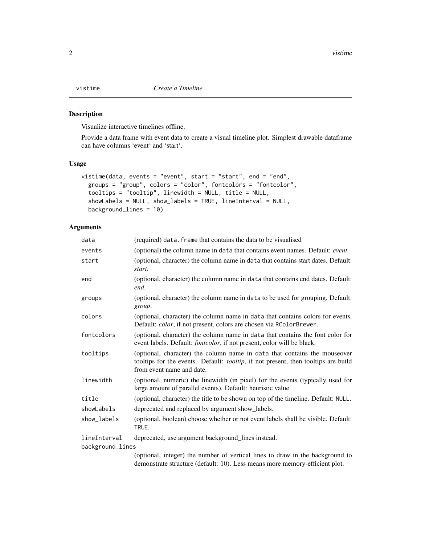<span id="page-1-0"></span>

#### Description

Visualize interactive timelines offline.

Provide a data frame with event data to create a visual timeline plot. Simplest drawable dataframe can have columns 'event' and 'start'.

#### Usage

```
vistime(data, events = "event", start = "start", end = "end",
 groups = "group", colors = "color", fontcolors = "fontcolor",
  tooltips = "tooltip", linewidth = NULL, title = NULL,
  showLabels = NULL, show_labels = TRUE, lineInterval = NULL,
 background_lines = 10)
```
#### Arguments

| data             | (required) data. frame that contains the data to be visualised                                                                                                                               |
|------------------|----------------------------------------------------------------------------------------------------------------------------------------------------------------------------------------------|
| events           | (optional) the column name in data that contains event names. Default: event.                                                                                                                |
| start            | (optional, character) the column name in data that contains start dates. Default:<br>start.                                                                                                  |
| end              | (optional, character) the column name in data that contains end dates. Default:<br>end.                                                                                                      |
| groups           | (optional, character) the column name in data to be used for grouping. Default:<br>group.                                                                                                    |
| colors           | (optional, character) the column name in data that contains colors for events.<br>Default: <i>color</i> , if not present, colors are chosen via RColorBrewer.                                |
| fontcolors       | (optional, character) the column name in data that contains the font color for<br>event labels. Default: <i>fontcolor</i> , if not present, color will be black.                             |
| tooltips         | (optional, character) the column name in data that contains the mouseover<br>tooltips for the events. Default: tooltip, if not present, then tooltips are build<br>from event name and date. |
| linewidth        | (optional, numeric) the linewidth (in pixel) for the events (typically used for<br>large amount of parallel events). Default: heuristic value.                                               |
| title            | (optional, character) the title to be shown on top of the timeline. Default: NULL.                                                                                                           |
| showLabels       | deprecated and replaced by argument show_labels.                                                                                                                                             |
| show_labels      | (optional, boolean) choose whether or not event labels shall be visible. Default:<br>TRUE.                                                                                                   |
| lineInterval     | deprecated, use argument background_lines instead.                                                                                                                                           |
| background_lines |                                                                                                                                                                                              |
|                  | (optional, integer) the number of vertical lines to draw in the background to<br>demonstrate structure (default: 10). Less means more memory-efficient plot.                                 |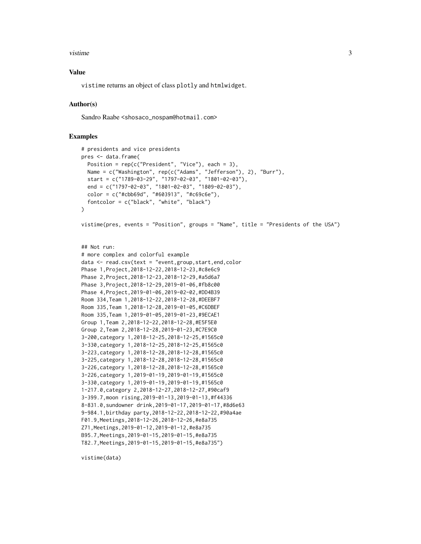#### vistime 3

#### Value

vistime returns an object of class plotly and htmlwidget.

#### Author(s)

Sandro Raabe <shosaco\_nospam@hotmail.com>

#### Examples

```
# presidents and vice presidents
pres <- data.frame(
  Position = rep(c("President", "Vice"), each = 3),Name = c("Washington", rep(c("Adams", "Jefferson"), 2), "Burr"),
  start = c("1789-03-29", "1797-02-03", "1801-02-03"),
  end = c("1797-02-03", "1801-02-03", "1809-02-03"),
  color = c("#cbb69d", "#603913", "#c69c6e"),
  fontcolor = c("black", "white", "black")
\lambdavistime(pres, events = "Position", groups = "Name", title = "Presidents of the USA")
## Not run:
# more complex and colorful example
data \leftarrow read.csv(text = "event, group, start, end, colorPhase 1,Project,2018-12-22,2018-12-23,#c8e6c9
Phase 2,Project,2018-12-23,2018-12-29,#a5d6a7
Phase 3,Project,2018-12-29,2019-01-06,#fb8c00
Phase 4,Project,2019-01-06,2019-02-02,#DD4B39
Room 334,Team 1,2018-12-22,2018-12-28,#DEEBF7
Room 335,Team 1,2018-12-28,2019-01-05,#C6DBEF
Room 335,Team 1,2019-01-05,2019-01-23,#9ECAE1
Group 1,Team 2,2018-12-22,2018-12-28,#E5F5E0
Group 2,Team 2,2018-12-28,2019-01-23,#C7E9C0
3-200,category 1,2018-12-25,2018-12-25,#1565c0
3-330,category 1,2018-12-25,2018-12-25,#1565c0
3-223,category 1,2018-12-28,2018-12-28,#1565c0
3-225,category 1,2018-12-28,2018-12-28,#1565c0
3-226,category 1,2018-12-28,2018-12-28,#1565c0
3-226,category 1,2019-01-19,2019-01-19,#1565c0
3-330,category 1,2019-01-19,2019-01-19,#1565c0
1-217.0,category 2,2018-12-27,2018-12-27,#90caf9
3-399.7,moon rising,2019-01-13,2019-01-13,#f44336
8-831.0,sundowner drink,2019-01-17,2019-01-17,#8d6e63
9-984.1,birthday party,2018-12-22,2018-12-22,#90a4ae
F01.9,Meetings,2018-12-26,2018-12-26,#e8a735
Z71,Meetings,2019-01-12,2019-01-12,#e8a735
B95.7,Meetings,2019-01-15,2019-01-15,#e8a735
T82.7,Meetings,2019-01-15,2019-01-15,#e8a735")
```
vistime(data)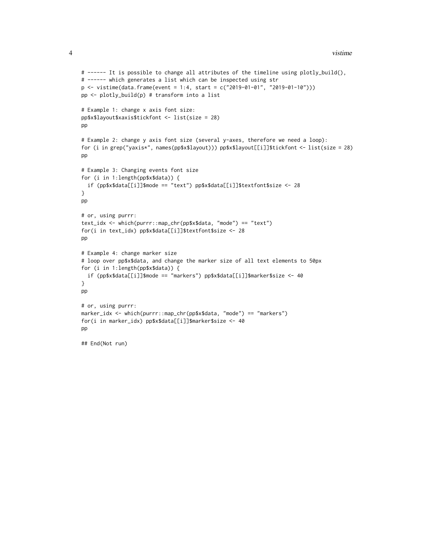```
# ------ It is possible to change all attributes of the timeline using plotly_build(),
# ------ which generates a list which can be inspected using str
p \le - vistime(data.frame(event = 1:4, start = c("2019-01-01", "2019-01-10")))
pp <- plotly_build(p) # transform into a list
# Example 1: change x axis font size:
pp$x$layout$xaxis$tickfont <- list(size = 28)
pp
# Example 2: change y axis font size (several y-axes, therefore we need a loop):
for (i in grep("yaxis*", names(pp$x$layout))) pp$x$layout[[i]]$tickfont <- list(size = 28)
pp
# Example 3: Changing events font size
for (i in 1:length(pp$x$data)) {
  if (pp$x$data[[i]]$mode == "text") pp$x$data[[i]]$textfont$size <- 28
}
pp
# or, using purrr:
text_idx <- which(purrr::map_chr(pp$x$data, "mode") == "text")
for(i in text_idx) pp$x$data[[i]]$textfont$size <- 28
pp
# Example 4: change marker size
# loop over pp$x$data, and change the marker size of all text elements to 50px
for (i in 1:length(pp$x$data)) {
 if (pp$x$data[[i]]$mode == "markers") pp$x$data[[i]]$marker$size <- 40
}
pp
# or, using purrr:
marker_idx <- which(purrr::map_chr(pp$x$data, "mode") == "markers")
for(i in marker_idx) pp$x$data[[i]]$marker$size <- 40
pp
```

```
## End(Not run)
```